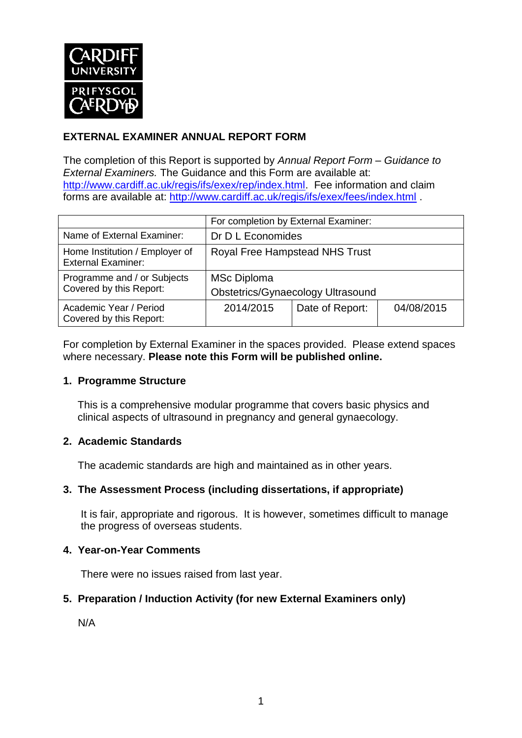

# **EXTERNAL EXAMINER ANNUAL REPORT FORM**

The completion of this Report is supported by *Annual Report Form – Guidance to External Examiners.* The Guidance and this Form are available at: [http://www.cardiff.ac.uk/regis/ifs/exex/rep/index.html.](http://www.cardiff.ac.uk/regis/ifs/exex/rep/index.html) Fee information and claim forms are available at:<http://www.cardiff.ac.uk/regis/ifs/exex/fees/index.html> .

|                                                             | For completion by External Examiner:                           |                 |            |  |
|-------------------------------------------------------------|----------------------------------------------------------------|-----------------|------------|--|
| Name of External Examiner:                                  | Dr D L Economides                                              |                 |            |  |
| Home Institution / Employer of<br><b>External Examiner:</b> | Royal Free Hampstead NHS Trust                                 |                 |            |  |
| Programme and / or Subjects<br>Covered by this Report:      | <b>MSc Diploma</b><br><b>Obstetrics/Gynaecology Ultrasound</b> |                 |            |  |
| Academic Year / Period<br>Covered by this Report:           | 2014/2015                                                      | Date of Report: | 04/08/2015 |  |

For completion by External Examiner in the spaces provided. Please extend spaces where necessary. **Please note this Form will be published online.**

#### **1. Programme Structure**

This is a comprehensive modular programme that covers basic physics and clinical aspects of ultrasound in pregnancy and general gynaecology.

#### **2. Academic Standards**

The academic standards are high and maintained as in other years.

## **3. The Assessment Process (including dissertations, if appropriate)**

It is fair, appropriate and rigorous. It is however, sometimes difficult to manage the progress of overseas students.

#### **4. Year-on-Year Comments**

There were no issues raised from last year.

#### **5. Preparation / Induction Activity (for new External Examiners only)**

N/A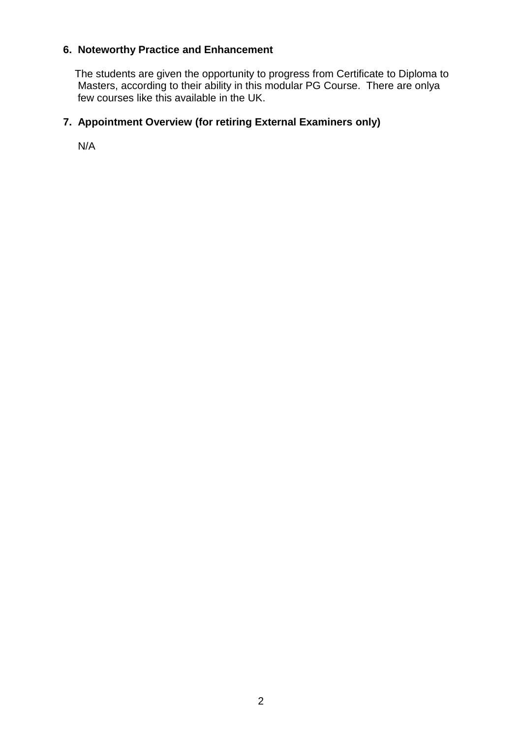# **6. Noteworthy Practice and Enhancement**

 The students are given the opportunity to progress from Certificate to Diploma to Masters, according to their ability in this modular PG Course. There are onlya few courses like this available in the UK.

## **7. Appointment Overview (for retiring External Examiners only)**

N/A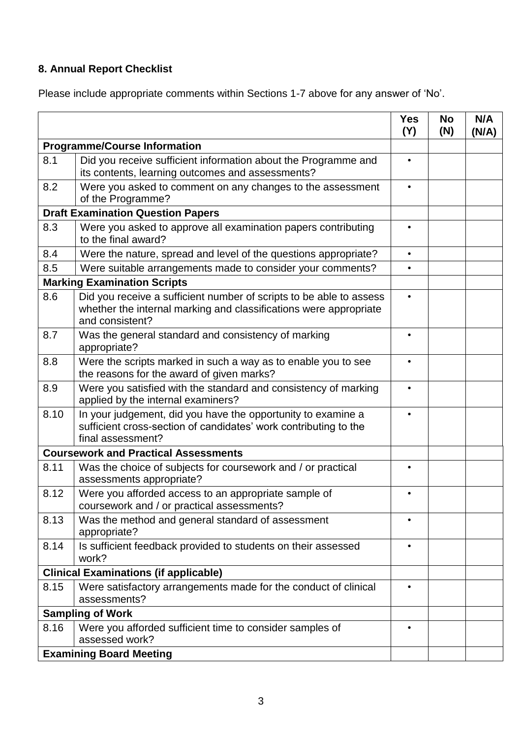# **8. Annual Report Checklist**

Please include appropriate comments within Sections 1-7 above for any answer of 'No'.

|                                              |                                                                                                                                                             | <b>Yes</b><br>(Y) | <b>No</b><br>(N) | N/A<br>(N/A) |
|----------------------------------------------|-------------------------------------------------------------------------------------------------------------------------------------------------------------|-------------------|------------------|--------------|
| <b>Programme/Course Information</b>          |                                                                                                                                                             |                   |                  |              |
| 8.1                                          | Did you receive sufficient information about the Programme and<br>its contents, learning outcomes and assessments?                                          | $\bullet$         |                  |              |
| 8.2                                          | Were you asked to comment on any changes to the assessment<br>of the Programme?                                                                             | $\bullet$         |                  |              |
| <b>Draft Examination Question Papers</b>     |                                                                                                                                                             |                   |                  |              |
| 8.3                                          | Were you asked to approve all examination papers contributing<br>to the final award?                                                                        |                   |                  |              |
| 8.4                                          | Were the nature, spread and level of the questions appropriate?                                                                                             | $\bullet$         |                  |              |
| 8.5                                          | Were suitable arrangements made to consider your comments?                                                                                                  | $\bullet$         |                  |              |
|                                              | <b>Marking Examination Scripts</b>                                                                                                                          |                   |                  |              |
| 8.6                                          | Did you receive a sufficient number of scripts to be able to assess<br>whether the internal marking and classifications were appropriate<br>and consistent? |                   |                  |              |
| 8.7                                          | Was the general standard and consistency of marking<br>appropriate?                                                                                         |                   |                  |              |
| 8.8                                          | Were the scripts marked in such a way as to enable you to see<br>the reasons for the award of given marks?                                                  |                   |                  |              |
| 8.9                                          | Were you satisfied with the standard and consistency of marking<br>applied by the internal examiners?                                                       |                   |                  |              |
| 8.10                                         | In your judgement, did you have the opportunity to examine a<br>sufficient cross-section of candidates' work contributing to the<br>final assessment?       |                   |                  |              |
| <b>Coursework and Practical Assessments</b>  |                                                                                                                                                             |                   |                  |              |
| 8.11                                         | Was the choice of subjects for coursework and / or practical<br>assessments appropriate?                                                                    |                   |                  |              |
| 8.12                                         | Were you afforded access to an appropriate sample of<br>coursework and / or practical assessments?                                                          |                   |                  |              |
| 8.13                                         | Was the method and general standard of assessment<br>appropriate?                                                                                           |                   |                  |              |
| 8.14                                         | Is sufficient feedback provided to students on their assessed<br>work?                                                                                      | $\bullet$         |                  |              |
| <b>Clinical Examinations (if applicable)</b> |                                                                                                                                                             |                   |                  |              |
| 8.15                                         | Were satisfactory arrangements made for the conduct of clinical<br>assessments?                                                                             |                   |                  |              |
| <b>Sampling of Work</b>                      |                                                                                                                                                             |                   |                  |              |
| 8.16                                         | Were you afforded sufficient time to consider samples of<br>assessed work?                                                                                  | $\bullet$         |                  |              |
| <b>Examining Board Meeting</b>               |                                                                                                                                                             |                   |                  |              |